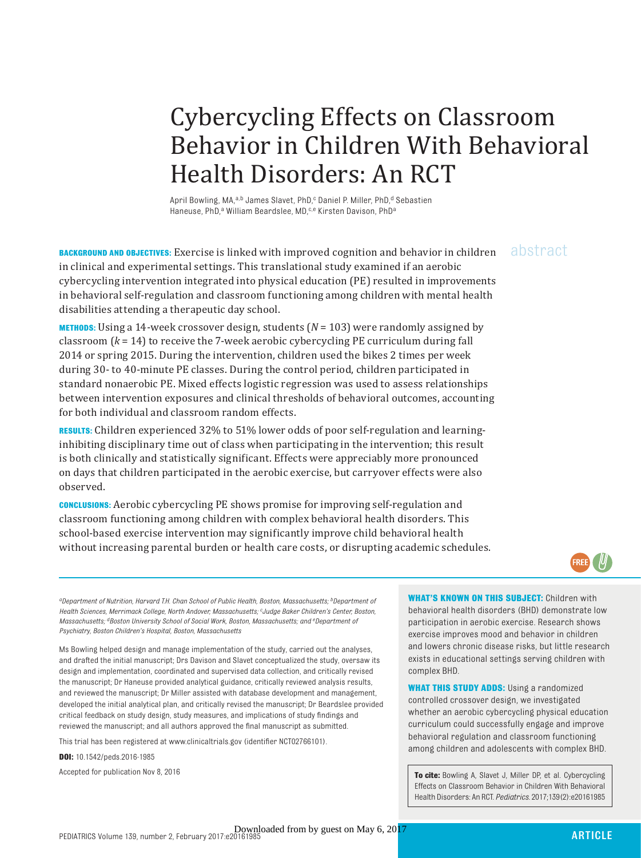# Cybercycling Effects on Classroom Behavior in Children With Behavioral Health Disorders: An RCT

April Bowling, MA,<sup>a,b</sup> James Slavet, PhD,<sup>c</sup> Daniel P. Miller, PhD,<sup>d</sup> Sebastien Haneuse, PhD,<sup>a</sup> William Beardslee, MD,<sup>c,e</sup> Kirsten Davison, PhD<sup>a</sup>

BACKGROUND AND OBJECTIVES: Exercise is linked with improved cognition and behavior in children abstract in clinical and experimental settings. This translational study examined if an aerobic cybercycling intervention integrated into physical education (PE) resulted in improvements in behavioral self-regulation and classroom functioning among children with mental health disabilities attending a therapeutic day school.

**METHODS:** Using a 14-week crossover design, students (*N* = 103) were randomly assigned by classroom (*k* = 14) to receive the 7-week aerobic cybercycling PE curriculum during fall 2014 or spring 2015. During the intervention, children used the bikes 2 times per week during 30- to 40-minute PE classes. During the control period, children participated in standard nonaerobic PE. Mixed effects logistic regression was used to assess relationships between intervention exposures and clinical thresholds of behavioral outcomes, accounting for both individual and classroom random effects.

**RESULTS:** Children experienced 32% to 51% lower odds of poor self-regulation and learninginhibiting disciplinary time out of class when participating in the intervention; this result is both clinically and statistically significant. Effects were appreciably more pronounced on days that children participated in the aerobic exercise, but carryover effects were also observed.

**CONCLUSIONS:** Aerobic cybercycling PE shows promise for improving self-regulation and classroom functioning among children with complex behavioral health disorders. This school-based exercise intervention may significantly improve child behavioral health without increasing parental burden or health care costs, or disrupting academic schedules.

FREE)

 *aDepartment of Nutrition, Harvard T.H. Chan School of Public Health, Boston, Massachusetts; bDepartment of Health Sciences, Merrimack College, North Andover, Massachusetts; c Judge Baker Children's Center, Boston, Massachusetts; dBoston University School of Social Work, Boston, Massachusetts; and eDepartment of Psychiatry, Boston Children's Hospital, Boston, Massachusetts*

Ms Bowling helped design and manage implementation of the study, carried out the analyses, and drafted the initial manuscript; Drs Davison and Slavet conceptualized the study, oversaw its design and implementation, coordinated and supervised data collection, and critically revised the manuscript; Dr Haneuse provided analytical guidance, critically reviewed analysis results, and reviewed the manuscript; Dr Miller assisted with database development and management, developed the initial analytical plan, and critically revised the manuscript; Dr Beardslee provided critical feedback on study design, study measures, and implications of study findings and reviewed the manuscript; and all authors approved the final manuscript as submitted.

This trial has been registered at www.clinicaltrials.gov (identifier NCT02766101).

**DOI:** 10.1542/peds.2016-1985

**WHAT'S KNOWN ON THIS SUBJECT: Children with** behavioral health disorders (BHD) demonstrate low participation in aerobic exercise. Research shows exercise improves mood and behavior in children and lowers chronic disease risks, but little research exists in educational settings serving children with complex BHD.

**WHAT THIS STUDY ADDS:** Using a randomized controlled crossover design, we investigated whether an aerobic cybercycling physical education curriculum could successfully engage and improve behavioral regulation and classroom functioning among children and adolescents with complex BHD.

Accepted for publication Nov 8, 2016 **To cite:** Bowling A, Slavet J, Miller DP, et al. Cybercycling Effects on Classroom Behavior in Children With Behavioral Health Disorders: An RCT. *Pediatrics.* 2017;139(2):e20161985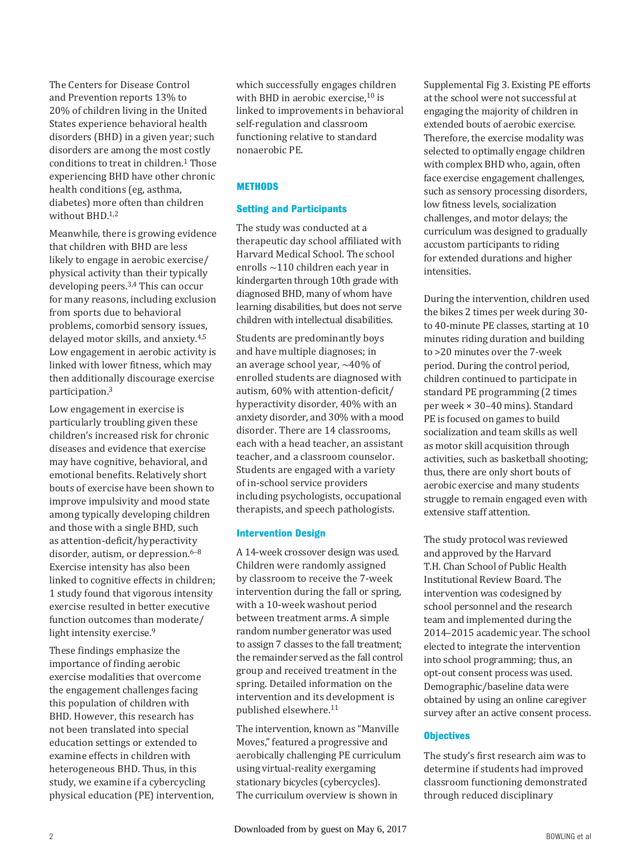The Centers for Disease Control and Prevention reports 13% to 20% of children living in the United States experience behavioral health disorders (BHD) in a given year; such disorders are among the most costly conditions to treat in children. $1$  Those experiencing BHD have other chronic health conditions (eg, asthma, diabetes) more often than children without  $BHD<sub>1,2</sub>$ 

Meanwhile, there is growing evidence that children with BHD are less likely to engage in aerobic exercise/ physical activity than their typically developing peers.<sup>3,4</sup> This can occur for many reasons, including exclusion from sports due to behavioral problems, comorbid sensory issues, delayed motor skills, and anxiety.<sup>4,5</sup> Low engagement in aerobic activity is linked with lower fitness, which may then additionally discourage exercise participation.3

Low engagement in exercise is particularly troubling given these children's increased risk for chronic diseases and evidence that exercise may have cognitive, behavioral, and emotional benefits. Relatively short bouts of exercise have been shown to improve impulsivity and mood state among typically developing children and those with a single BHD, such as attention-deficit/hyperactivity disorder, autism, or depression.<sup>6-8</sup> Exercise intensity has also been linked to cognitive effects in children; 1 study found that vigorous intensity exercise resulted in better executive function outcomes than moderate/ light intensity exercise.<sup>9</sup>

These findings emphasize the importance of finding aerobic exercise modalities that overcome the engagement challenges facing this population of children with BHD. However, this research has not been translated into special education settings or extended to examine effects in children with heterogeneous BHD. Thus, in this study, we examine if a cybercycling physical education (PE) intervention, which successfully engages children with BHD in aerobic exercise, $10$  is linked to improvements in behavioral self-regulation and classroom functioning relative to standard nonaerobic PE.

# **METHODS**

# **Setting and Participants**

The study was conducted at a therapeutic day school affiliated with Harvard Medical School. The school enrolls ∼110 children each year in kindergarten through 10th grade with diagnosed BHD, many of whom have learning disabilities, but does not serve children with intellectual disabilities.

Students are predominantly boys and have multiple diagnoses; in an average school year, ∼40% of enrolled students are diagnosed with autism, 60% with attention-deficit/ hyperactivity disorder, 40% with an anxiety disorder, and 30% with a mood disorder. There are 14 classrooms, each with a head teacher, an assistant teacher, and a classroom counselor. Students are engaged with a variety of in-school service providers including psychologists, occupational therapists, and speech pathologists.

# **Intervention Design**

A 14-week crossover design was used. Children were randomly assigned by classroom to receive the 7-week intervention during the fall or spring, with a 10-week washout period between treatment arms. A simple random number generator was used to assign 7 classes to the fall treatment; the remainder served as the fall control group and received treatment in the spring. Detailed information on the intervention and its development is published elsewhere. 11

The intervention, known as "Manville Moves," featured a progressive and aerobically challenging PE curriculum using virtual-reality exergaming stationary bicycles (cybercycles). The curriculum overview is shown in

Supplemental Fig 3. Existing PE efforts at the school were not successful at engaging the majority of children in extended bouts of aerobic exercise. Therefore, the exercise modality was selected to optimally engage children with complex BHD who, again, often face exercise engagement challenges, such as sensory processing disorders, low fitness levels, socialization challenges, and motor delays; the curriculum was designed to gradually accustom participants to riding for extended durations and higher intensities.

During the intervention, children used the bikes 2 times per week during 30 to 40-minute PE classes, starting at 10 minutes riding duration and building to >20 minutes over the 7-week period. During the control period, children continued to participate in standard PE programming (2 times per week × 30–40 mins). Standard PE is focused on games to build socialization and team skills as well as motor skill acquisition through activities, such as basketball shooting; thus, there are only short bouts of aerobic exercise and many students struggle to remain engaged even with extensive staff attention.

The study protocol was reviewed and approved by the Harvard T.H. Chan School of Public Health Institutional Review Board. The intervention was codesigned by school personnel and the research team and implemented during the 2014–2015 academic year. The school elected to integrate the intervention into school programming; thus, an opt-out consent process was used. Demographic/baseline data were obtained by using an online caregiver survey after an active consent process.

# **Objectives**

The study's first research aim was to determine if students had improved classroom functioning demonstrated through reduced disciplinary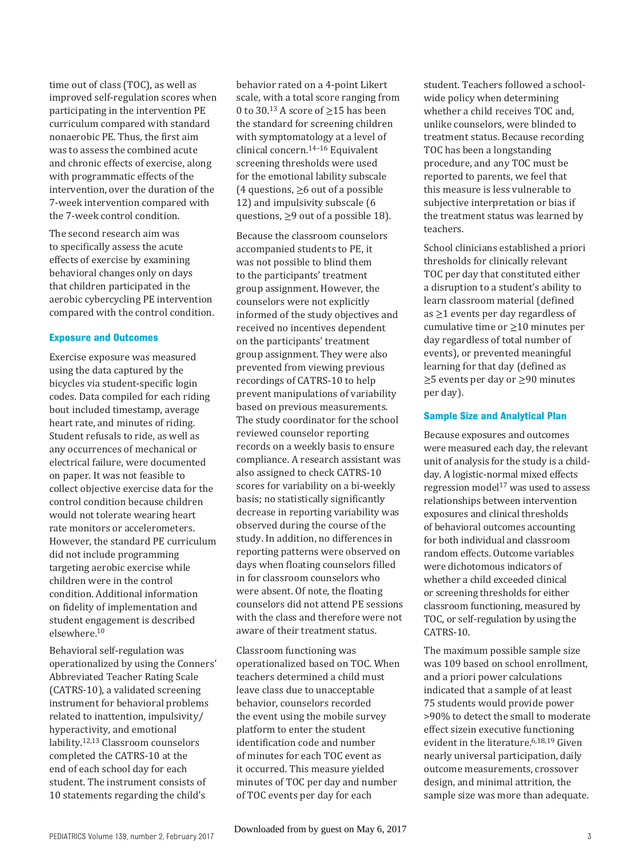time out of class (TOC), as well as improved self-regulation scores when participating in the intervention PE curriculum compared with standard nonaerobic PE. Thus, the first aim was to assess the combined acute and chronic effects of exercise, along with programmatic effects of the intervention, over the duration of the 7-week intervention compared with the 7-week control condition.

The second research aim was to specifically assess the acute effects of exercise by examining behavioral changes only on days that children participated in the aerobic cybercycling PE intervention compared with the control condition.

#### **Exposure and Outcomes**

Exercise exposure was measured using the data captured by the bicycles via student-specific login codes. Data compiled for each riding bout included timestamp, average heart rate, and minutes of riding. Student refusals to ride, as well as any occurrences of mechanical or electrical failure, were documented on paper. It was not feasible to collect objective exercise data for the control condition because children would not tolerate wearing heart rate monitors or accelerometers. However, the standard PE curriculum did not include programming targeting aerobic exercise while children were in the control condition. Additional information on fidelity of implementation and student engagement is described elsewhere.<sup>10</sup>

Behavioral self-regulation was operationalized by using the Conners' Abbreviated Teacher Rating Scale (CATRS-10), a validated screening instrument for behavioral problems related to inattention, impulsivity/ hyperactivity, and emotional lability.<sup>12,13</sup> Classroom counselors completed the CATRS-10 at the end of each school day for each student. The instrument consists of 10 statements regarding the child's

behavior rated on a 4-point Likert scale, with a total score ranging from 0 to 30.<sup>13</sup> A score of  $\geq$ 15 has been the standard for screening children with symptomatology at a level of clinical concern. 14–16 Equivalent screening thresholds were used for the emotional lability subscale (4 questions,  $\geq 6$  out of a possible 12) and impulsivity subscale (6 questions,  $\geq$ 9 out of a possible 18).

Because the classroom counselors accompanied students to PE, it was not possible to blind them to the participants' treatment group assignment. However, the counselors were not explicitly informed of the study objectives and received no incentives dependent on the participants' treatment group assignment. They were also prevented from viewing previous recordings of CATRS-10 to help prevent manipulations of variability based on previous measurements. The study coordinator for the school reviewed counselor reporting records on a weekly basis to ensure compliance. A research assistant was also assigned to check CATRS-10 scores for variability on a bi-weekly basis; no statistically significantly decrease in reporting variability was observed during the course of the study. In addition, no differences in reporting patterns were observed on days when floating counselors filled in for classroom counselors who were absent. Of note, the floating counselors did not attend PE sessions with the class and therefore were not aware of their treatment status.

Classroom functioning was operationalized based on TOC. When teachers determined a child must leave class due to unacceptable behavior, counselors recorded the event using the mobile survey platform to enter the student identification code and number of minutes for each TOC event as it occurred. This measure yielded minutes of TOC per day and number of TOC events per day for each

student. Teachers followed a schoolwide policy when determining whether a child receives TOC and, unlike counselors, were blinded to treatment status. Because recording TOC has been a longstanding procedure, and any TOC must be reported to parents, we feel that this measure is less vulnerable to subjective interpretation or bias if the treatment status was learned by teachers.

School clinicians established a priori thresholds for clinically relevant TOC per day that constituted either a disruption to a student's ability to learn classroom material (defined as ≥1 events per day regardless of cumulative time or  $\geq$ 10 minutes per day regardless of total number of events), or prevented meaningful learning for that day (defined as ≥5 events per day or ≥90 minutes per day).

#### **Sample Size and Analytical Plan**

Because exposures and outcomes were measured each day, the relevant unit of analysis for the study is a childday. A logistic-normal mixed effects regression model<sup>17</sup> was used to assess relationships between intervention exposures and clinical thresholds of behavioral outcomes accounting for both individual and classroom random effects. Outcome variables were dichotomous indicators of whether a child exceeded clinical or screening thresholds for either classroom functioning, measured by TOC, or self-regulation by using the CATRS-10.

The maximum possible sample size was 109 based on school enrollment, and a priori power calculations indicated that a sample of at least 75 students would provide power >90% to detect the small to moderate effect sizein executive functioning evident in the literature.<sup>6,18,19</sup> Given nearly universal participation, daily outcome measurements, crossover design, and minimal attrition, the sample size was more than adequate.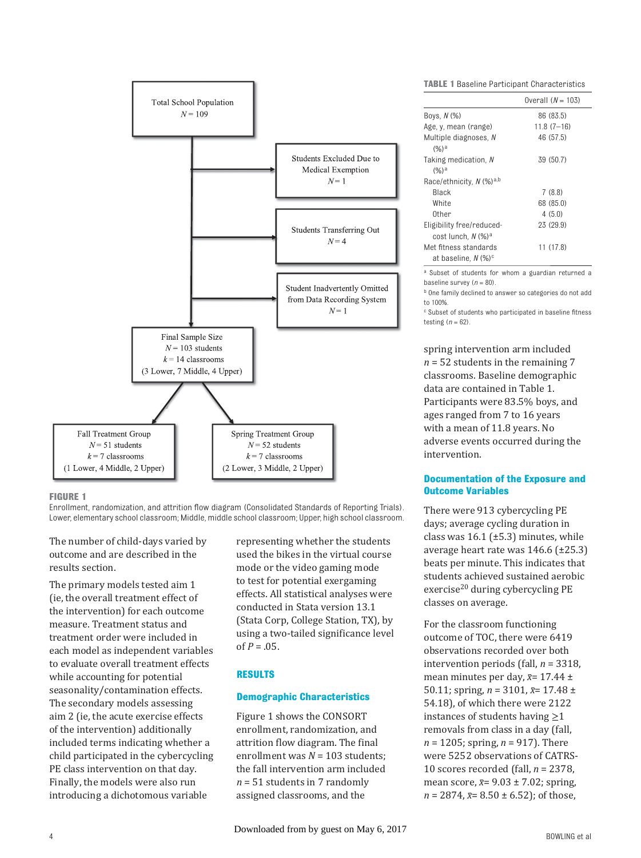

#### **FIGURE 1**

Enrollment, randomization, and attrition flow diagram (Consolidated Standards of Reporting Trials). Lower, elementary school classroom; Middle, middle school classroom; Upper, high school classroom.

The number of child-days varied by outcome and are described in the results section.

The primary models tested aim 1 (ie, the overall treatment effect of the intervention) for each outcome measure. Treatment status and treatment order were included in each model as independent variables to evaluate overall treatment effects while accounting for potential seasonality/contamination effects. The secondary models assessing aim 2 (ie, the acute exercise effects of the intervention) additionally included terms indicating whether a child participated in the cybercycling PE class intervention on that day. Finally, the models were also run introducing a dichotomous variable

representing whether the students used the bikes in the virtual course mode or the video gaming mode to test for potential exergaming effects. All statistical analyses were conducted in Stata version 13.1 (Stata Corp, College Station, TX), by using a two-tailed significance level of  $P = .05$ .

# **RESULTS**

#### **Demographic Characteristics**

 Figure 1 shows the CONSORT enrollment, randomization, and attrition flow diagram. The final enrollment was *N* = 103 students; the fall intervention arm included *n* = 51 students in 7 randomly assigned classrooms, and the

**TABLE 1** Baseline Participant Characteristics

|                                                          | Overall $(N = 103)$ |
|----------------------------------------------------------|---------------------|
| Boys, N (%)                                              | 86 (83.5)           |
| Age, y, mean (range)                                     | $11.8(7-16)$        |
| Multiple diagnoses, N<br>$(%)^a$                         | 46 (57.5)           |
| Taking medication, N<br>$(%)^a$                          | 39 (50.7)           |
| Race/ethnicity, N (%) <sup>a,b</sup>                     |                     |
| Black                                                    | 7(8.8)              |
| White                                                    | 68 (85.0)           |
| 0ther                                                    | 4(5.0)              |
| Eligibility free/reduced-                                | 23 (29.9)           |
| cost lunch. N (%) <sup>a</sup>                           |                     |
| Met fitness standards<br>at baseline, N (%) <sup>c</sup> | 11 (17.8)           |

a Subset of students for whom a guardian returned a baseline survey  $(n = 80)$ .

**b** One family declined to answer so categories do not add to 100%.

<sup>c</sup> Subset of students who participated in baseline fitness testing (*n* = 62).

spring intervention arm included *n* = 52 students in the remaining 7 classrooms. Baseline demographic data are contained in Table 1. Participants were 83.5% boys, and ages ranged from 7 to 16 years with a mean of 11.8 years. No adverse events occurred during the intervention.

# **Documentation of the Exposure and Outcome Variables**

There were 913 cybercycling PE days; average cycling duration in class was  $16.1$  ( $\pm$ 5.3) minutes, while average heart rate was 146.6 (±25.3) beats per minute. This indicates that students achieved sustained aerobic exercise<sup>20</sup> during cybercycling PE classes on average.

For the classroom functioning outcome of TOC, there were 6419 observations recorded over both intervention periods (fall, *n* = 3318, mean minutes per day,  $\bar{x}$ = 17.44 ± 50.11; spring,  $n = 3101$ ,  $\bar{x} = 17.48 \pm$ 54.18), of which there were 2122 instances of students having  $\geq$ 1 removals from class in a day (fall, *n* = 1205; spring, *n* = 917). There were 5252 observations of CATRS-10 scores recorded (fall, *n* = 2378, mean score,  $\bar{x}$ = 9.03 ± 7.02; spring,  $n = 2874$ ,  $\bar{x} = 8.50 \pm 6.52$ ); of those,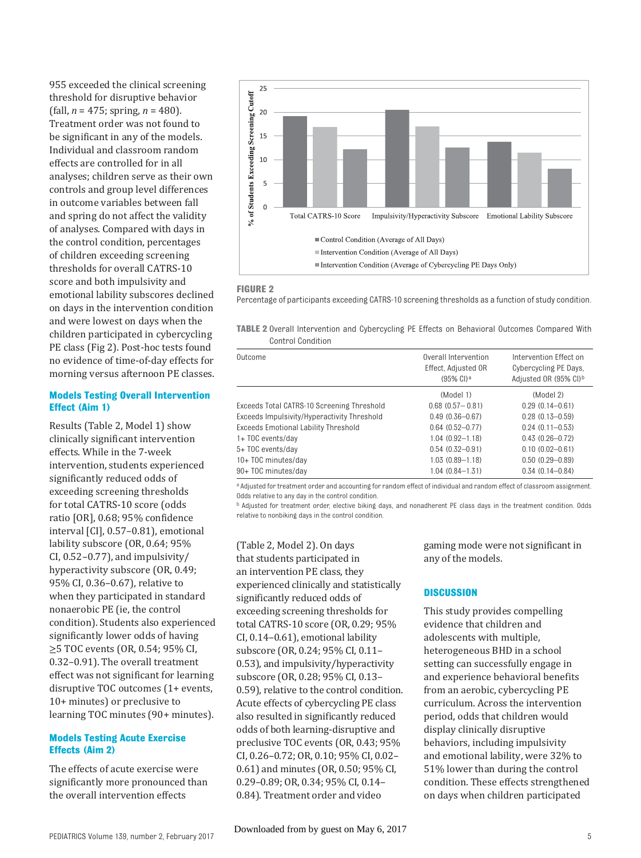955 exceeded the clinical screening threshold for disruptive behavior (fall, *n* = 475; spring, *n* = 480). Treatment order was not found to be significant in any of the models. Individual and classroom random effects are controlled for in all analyses; children serve as their own controls and group level differences in outcome variables between fall and spring do not affect the validity of analyses. Compared with days in the control condition, percentages of children exceeding screening thresholds for overall CATRS-10 score and both impulsivity and emotional lability subscores declined on days in the intervention condition and were lowest on days when the children participated in cybercycling PE class (Fig 2). Post-hoc tests found no evidence of time-of-day effects for morning versus afternoon PE classes.

#### **Models Testing Overall Intervention Effect (Aim 1)**

Results (Table 2, Model 1) show clinically significant intervention effects. While in the 7-week intervention, students experienced significantly reduced odds of exceeding screening thresholds for total CATRS-10 score (odds ratio [OR], 0.68; 95% confidence interval [CI], 0.57–0.81), emotional lability subscore (OR, 0.64; 95% CI,  $0.52 - 0.77$ ), and impulsivity/ hyperactivity subscore (OR, 0.49; 95% CI, 0.36–0.67), relative to when they participated in standard nonaerobic PE (ie, the control condition). Students also experienced significantly lower odds of having ≥5 TOC events (OR, 0.54; 95% CI, 0.32–0.91). The overall treatment effect was not significant for learning disruptive TOC outcomes (1+ events, 10+ minutes) or preclusive to learning TOC minutes (90+ minutes).

#### **Models Testing Acute Exercise Effects (Aim 2)**

The effects of acute exercise were significantly more pronounced than the overall intervention effects



#### **FIGURE 2**

Percentage of participants exceeding CATRS-10 screening thresholds as a function of study condition.

**TABLE 2** Overall Intervention and Cybercycling PE Effects on Behavioral Outcomes Compared With Control Condition

| Outcome                                     | Overall Intervention<br>Effect, Adjusted OR<br>$(95\% \text{ Cl})^{\text{a}}$ | Intervention Effect on<br>Cybercycling PE Days.<br>Adjusted OR (95% CI) <sup>b</sup> |
|---------------------------------------------|-------------------------------------------------------------------------------|--------------------------------------------------------------------------------------|
|                                             | (Model 1)                                                                     | (Model 2)                                                                            |
| Exceeds Total CATRS-10 Screening Threshold  | $0.68$ $(0.57 - 0.81)$                                                        | $0.29(0.14 - 0.61)$                                                                  |
| Exceeds Impulsivity/Hyperactivity Threshold | $0.49(0.36 - 0.67)$                                                           | $0.28(0.13 - 0.59)$                                                                  |
| <b>Exceeds Emotional Lability Threshold</b> | $0.64(0.52 - 0.77)$                                                           | $0.24(0.11 - 0.53)$                                                                  |
| 1+ TOC events/day                           | $1.04(0.92 - 1.18)$                                                           | $0.43(0.26 - 0.72)$                                                                  |
| 5+ TOC events/day                           | $0.54(0.32 - 0.91)$                                                           | $0.10(0.02 - 0.61)$                                                                  |
| 10+ TOC minutes/day                         | $1.03(0.89 - 1.18)$                                                           | $0.50(0.29 - 0.89)$                                                                  |
| 90+ TOC minutes/day                         | $1.04(0.84 - 1.31)$                                                           | $0.34(0.14 - 0.84)$                                                                  |

a Adjusted for treatment order and accounting for random effect of individual and random effect of classroom assignment. Odds relative to any day in the control condition.

b Adjusted for treatment order, elective biking days, and nonadherent PE class days in the treatment condition. Odds relative to nonbiking days in the control condition.

( Table 2, Model 2). On days that students participated in an intervention PE class, they experienced clinically and statistically significantly reduced odds of exceeding screening thresholds for total CATRS-10 score (OR, 0.29; 95% CI, 0.14–0.61), emotional lability subscore (OR, 0.24; 95% CI, 0.11– 0.53), and impulsivity/hyperactivity subscore (OR, 0.28; 95% CI, 0.13– 0.59), relative to the control condition. Acute effects of cybercycling PE class also resulted in significantly reduced odds of both learning-disruptive and preclusive TOC events (OR, 0.43; 95% CI, 0.26–0.72; OR, 0.10; 95% CI, 0.02– 0.61) and minutes (OR, 0.50; 95% CI, 0.29–0.89; OR, 0.34; 95% CI, 0.14– 0.84). Treatment order and video

gaming mode were not significant in any of the models.

#### **DISCUSSION**

This study provides compelling evidence that children and adolescents with multiple, heterogeneous BHD in a school setting can successfully engage in and experience behavioral benefits from an aerobic, cybercycling PE curriculum. Across the intervention period, odds that children would display clinically disruptive behaviors, including impulsivity and emotional lability, were 32% to 51% lower than during the control condition. These effects strengthened on days when children participated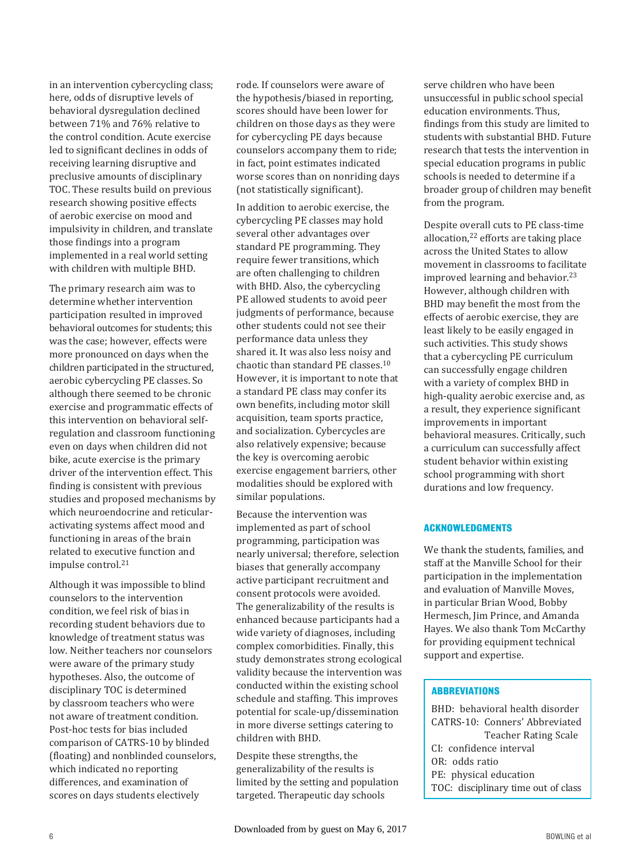in an intervention cybercycling class; here, odds of disruptive levels of behavioral dysregulation declined between 71% and 76% relative to the control condition. Acute exercise led to significant declines in odds of receiving learning disruptive and preclusive amounts of disciplinary TOC. These results build on previous research showing positive effects of aerobic exercise on mood and impulsivity in children, and translate those findings into a program implemented in a real world setting with children with multiple BHD.

The primary research aim was to determine whether intervention participation resulted in improved behavioral outcomes for students; this was the case; however, effects were more pronounced on days when the children participated in the structured, aerobic cybercycling PE classes. So although there seemed to be chronic exercise and programmatic effects of this intervention on behavioral selfregulation and classroom functioning even on days when children did not bike, acute exercise is the primary driver of the intervention effect. This finding is consistent with previous studies and proposed mechanisms by which neuroendocrine and reticularactivating systems affect mood and functioning in areas of the brain related to executive function and impulse control.<sup>21</sup>

Although it was impossible to blind counselors to the intervention condition, we feel risk of bias in recording student behaviors due to knowledge of treatment status was low. Neither teachers nor counselors were aware of the primary study hypotheses. Also, the outcome of disciplinary TOC is determined by classroom teachers who were not aware of treatment condition. Post-hoc tests for bias included comparison of CATRS-10 by blinded (floating) and nonblinded counselors, which indicated no reporting differences, and examination of scores on days students electively

rode. If counselors were aware of the hypothesis/biased in reporting, scores should have been lower for children on those days as they were for cybercycling PE days because counselors accompany them to ride; in fact, point estimates indicated worse scores than on nonriding days (not statistically significant).

In addition to aerobic exercise, the cybercycling PE classes may hold several other advantages over standard PE programming. They require fewer transitions, which are often challenging to children with BHD. Also, the cybercycling PE allowed students to avoid peer judgments of performance, because other students could not see their performance data unless they shared it. It was also less noisy and chaotic than standard PE classes. 10 However, it is important to note that a standard PE class may confer its own benefits, including motor skill acquisition, team sports practice, and socialization. Cybercycles are also relatively expensive; because the key is overcoming aerobic exercise engagement barriers, other modalities should be explored with similar populations.

Because the intervention was implemented as part of school programming, participation was nearly universal; therefore, selection biases that generally accompany active participant recruitment and consent protocols were avoided. The generalizability of the results is enhanced because participants had a wide variety of diagnoses, including complex comorbidities. Finally, this study demonstrates strong ecological validity because the intervention was conducted within the existing school schedule and staffing. This improves potential for scale-up/dissemination in more diverse settings catering to children with BHD.

Despite these strengths, the generalizability of the results is limited by the setting and population targeted. Therapeutic day schools

serve children who have been unsuccessful in public school special education environments. Thus, findings from this study are limited to students with substantial BHD. Future research that tests the intervention in special education programs in public schools is needed to determine if a broader group of children may benefit from the program.

Despite overall cuts to PE class-time allocation, 22 efforts are taking place across the United States to allow movement in classrooms to facilitate improved learning and behavior.<sup>23</sup> However, although children with BHD may benefit the most from the effects of aerobic exercise, they are least likely to be easily engaged in such activities. This study shows that a cybercycling PE curriculum can successfully engage children with a variety of complex BHD in high-quality aerobic exercise and, as a result, they experience significant improvements in important behavioral measures. Critically, such a curriculum can successfully affect student behavior within existing school programming with short durations and low frequency.

# **ACKNOWLEDGMENTS**

We thank the students, families, and staff at the Manville School for their participation in the implementation and evaluation of Manville Moves, in particular Brian Wood, Bobby Hermesch, Jim Prince, and Amanda Hayes. We also thank Tom McCarthy for providing equipment technical support and expertise.

#### **ABBREVIATIONS**

BHD: behavioral health disorder CATRS-10: Conners' Abbreviated Teacher Rating Scale CI: confidence interval OR: odds ratio PE: physical education TOC: disciplinary time out of class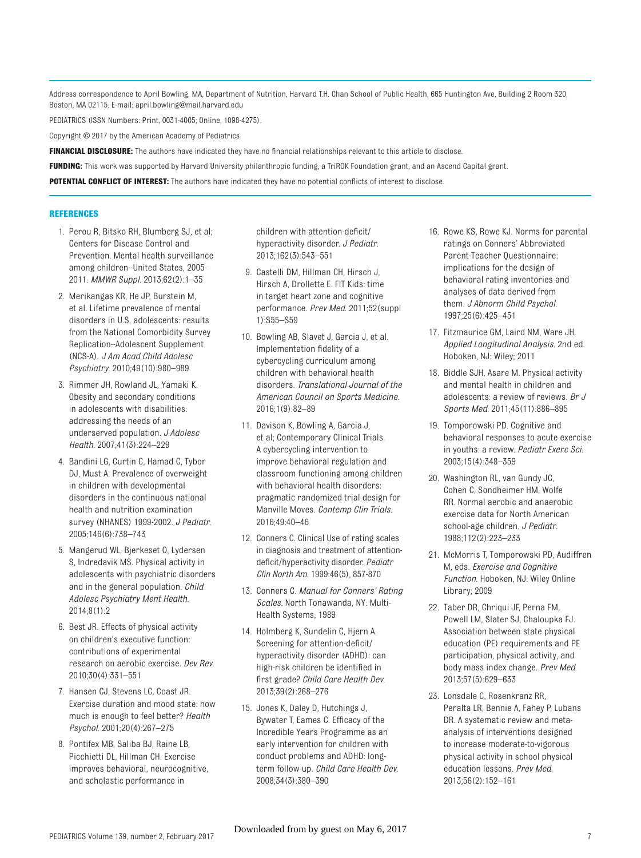Address correspondence to April Bowling, MA, Department of Nutrition, Harvard T.H. Chan School of Public Health, 665 Huntington Ave, Building 2 Room 320, Boston, MA 02115. E-mail: april.bowling@mail.harvard.edu

PEDIATRICS (ISSN Numbers: Print, 0031-4005; Online, 1098-4275).

Copyright © 2017 by the American Academy of Pediatrics

FINANCIAL DISCLOSURE: The authors have indicated they have no financial relationships relevant to this article to disclose.

**FUNDING:** This work was supported by Harvard University philanthropic funding, a TriROK Foundation grant, and an Ascend Capital grant.

POTENTIAL CONFLICT OF INTEREST: The authors have indicated they have no potential conflicts of interest to disclose.

#### **REFERENCES**

- 1. Perou R, Bitsko RH, Blumberg SJ, et al; Centers for Disease Control and Prevention. Mental health surveillance among children--United States, 2005- 2011. *MMWR Suppl*. 2013;62(2):1–35
- 2. Merikangas KR, He JP, Burstein M, et al. Lifetime prevalence of mental disorders in U.S. adolescents: results from the National Comorbidity Survey Replication--Adolescent Supplement (NCS-A). *J Am Acad Child Adolesc Psychiatry*. 2010;49(10):980–989
- 3. Rimmer JH, Rowland JL, Yamaki K. Obesity and secondary conditions in adolescents with disabilities: addressing the needs of an underserved population. *J Adolesc Health*. 2007;41(3):224–229
- 4. Bandini LG, Curtin C, Hamad C, Tybor DJ, Must A. Prevalence of overweight in children with developmental disorders in the continuous national health and nutrition examination survey (NHANES) 1999-2002. *J Pediatr*. 2005;146(6):738–743
- 5. Mangerud WL, Bjerkeset O, Lydersen S, Indredavik MS. Physical activity in adolescents with psychiatric disorders and in the general population. *Child Adolesc Psychiatry Ment Health*. 2014;8(1):2
- 6. Best JR. Effects of physical activity on children's executive function: contributions of experimental research on aerobic exercise. *Dev Rev*. 2010;30(4):331–551
- 7. Hansen CJ, Stevens LC, Coast JR. Exercise duration and mood state: how much is enough to feel better? *Health Psychol*. 2001;20(4):267–275
- 8. Pontifex MB, Saliba BJ, Raine LB, Picchietti DL, Hillman CH. Exercise improves behavioral, neurocognitive, and scholastic performance in

children with attention-deficit/ hyperactivity disorder. *J Pediatr*. 2013;162(3):543–551

- 9. Castelli DM, Hillman CH, Hirsch J, Hirsch A, Drollette E. FIT Kids: time in target heart zone and cognitive performance. *Prev Med*. 2011;52(suppl 1):S55–S59
- 10. Bowling AB, Slavet J, Garcia J, et al. Implementation fidelity of a cybercycling curriculum among children with behavioral health disorders. *Translational Journal of the American Council on Sports Medicine.* 2016;1(9):82–89
- 11. Davison K, Bowling A, Garcia J, et al; Contemporary Clinical Trials. A cybercycling intervention to improve behavioral regulation and classroom functioning among children with behavioral health disorders: pragmatic randomized trial design for Manville Moves. *Contemp Clin Trials*. 2016;49:40–46
- 12. Conners C. Clinical Use of rating scales in diagnosis and treatment of attentiondefi cit/hyperactivity disorder. *Pediatr Clin North Am*. 1999:46(5), 857-870
- 13. Conners C. *Manual for Conners' Rating Scales*. North Tonawanda, NY: Multi-Health Systems; 1989
- 14. Holmberg K, Sundelin C, Hjern A. Screening for attention-deficit/ hyperactivity disorder (ADHD): can high-risk children be identified in fi rst grade? *Child Care Health Dev*. 2013;39(2):268–276
- 15. Jones K, Daley D, Hutchings J, Bywater T, Eames C. Efficacy of the Incredible Years Programme as an early intervention for children with conduct problems and ADHD: longterm follow-up. *Child Care Health Dev*. 2008;34(3):380–390
- 16. Rowe KS, Rowe KJ. Norms for parental ratings on Conners' Abbreviated Parent-Teacher Questionnaire: implications for the design of behavioral rating inventories and analyses of data derived from them. *J Abnorm Child Psychol*. 1997;25(6):425–451
- 17. Fitzmaurice GM, Laird NM, Ware JH. *Applied Longitudinal Analysis*. 2nd ed. Hoboken, NJ: Wiley; 2011
- 18. Biddle SJH, Asare M. Physical activity and mental health in children and adolescents: a review of reviews. *Br J Sports Med*. 2011;45(11):886–895
- 19. Tomporowski PD. Cognitive and behavioral responses to acute exercise in youths: a review. *Pediatr Exerc Sci*. 2003;15(4):348–359
- 20. Washington RL, van Gundy JC, Cohen C, Sondheimer HM, Wolfe RR. Normal aerobic and anaerobic exercise data for North American school-age children. *J Pediatr*. 1988;112(2):223–233
- 21. McMorris T, Tomporowski PD, Audiffren M, eds. *Exercise and Cognitive Function*. Hoboken, NJ: Wiley Online Library; 2009
- 22. Taber DR, Chriqui JF, Perna FM, Powell LM, Slater SJ, Chaloupka FJ. Association between state physical education (PE) requirements and PE participation, physical activity, and body mass index change. *Prev Med*. 2013;57(5):629–633
- 23. Lonsdale C, Rosenkranz RR, Peralta LR, Bennie A, Fahey P, Lubans DR. A systematic review and metaanalysis of interventions designed to increase moderate-to-vigorous physical activity in school physical education lessons. *Prev Med*. 2013;56(2):152–161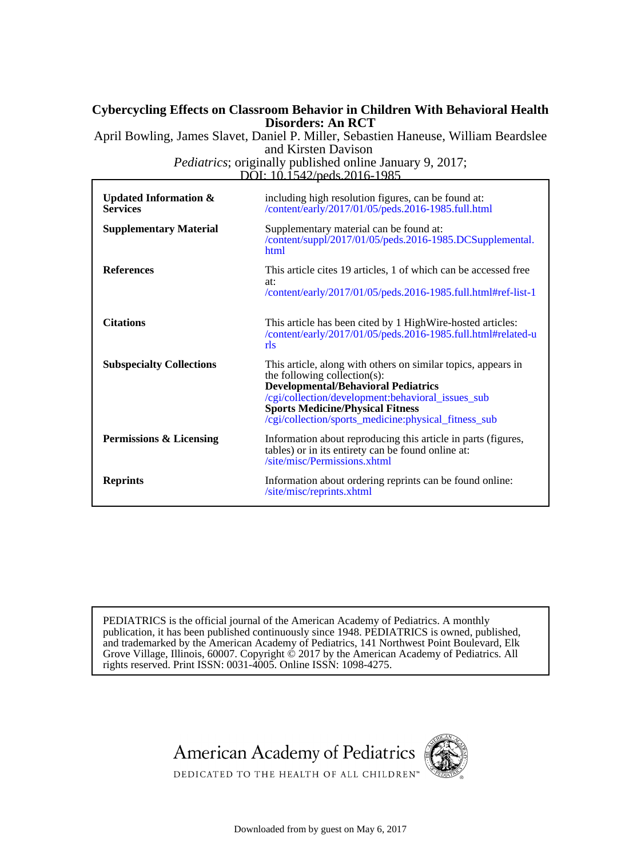# **Disorders: An RCT Cybercycling Effects on Classroom Behavior in Children With Behavioral Health**

and Kirsten Davison April Bowling, James Slavet, Daniel P. Miller, Sebastien Haneuse, William Beardslee

DOI: 10.1542/peds.2016-1985 *Pediatrics*; originally published online January 9, 2017;

| Updated Information $\&$<br><b>Services</b> | including high resolution figures, can be found at:<br>/content/early/2017/01/05/peds.2016-1985.full.html                                                                                                                                                                                           |
|---------------------------------------------|-----------------------------------------------------------------------------------------------------------------------------------------------------------------------------------------------------------------------------------------------------------------------------------------------------|
| <b>Supplementary Material</b>               | Supplementary material can be found at:<br>/content/suppl/2017/01/05/peds.2016-1985.DCSupplemental.<br>html                                                                                                                                                                                         |
| <b>References</b>                           | This article cites 19 articles, 1 of which can be accessed free<br>at:<br>/content/early/2017/01/05/peds.2016-1985.full.html#ref-list-1                                                                                                                                                             |
| <b>Citations</b>                            | This article has been cited by 1 High Wire-hosted articles:<br>/content/early/2017/01/05/peds.2016-1985.full.html#related-u<br>rls                                                                                                                                                                  |
| <b>Subspecialty Collections</b>             | This article, along with others on similar topics, appears in<br>the following collection(s):<br><b>Developmental/Behavioral Pediatrics</b><br>/cgi/collection/development:behavioral_issues_sub<br><b>Sports Medicine/Physical Fitness</b><br>/cgi/collection/sports_medicine:physical_fitness_sub |
| Permissions & Licensing                     | Information about reproducing this article in parts (figures,<br>tables) or in its entirety can be found online at:<br>/site/misc/Permissions.xhtml                                                                                                                                                 |
| <b>Reprints</b>                             | Information about ordering reprints can be found online:<br>/site/misc/reprints.xhtml                                                                                                                                                                                                               |

rights reserved. Print ISSN: 0031-4005. Online ISSN: 1098-4275. Grove Village, Illinois, 60007. Copyright  $\ddot{\odot}$  2017 by the American Academy of Pediatrics. All and trademarked by the American Academy of Pediatrics, 141 Northwest Point Boulevard, Elk publication, it has been published continuously since 1948. PEDIATRICS is owned, published, PEDIATRICS is the official journal of the American Academy of Pediatrics. A monthly



Downloaded from by guest on May 6, 2017